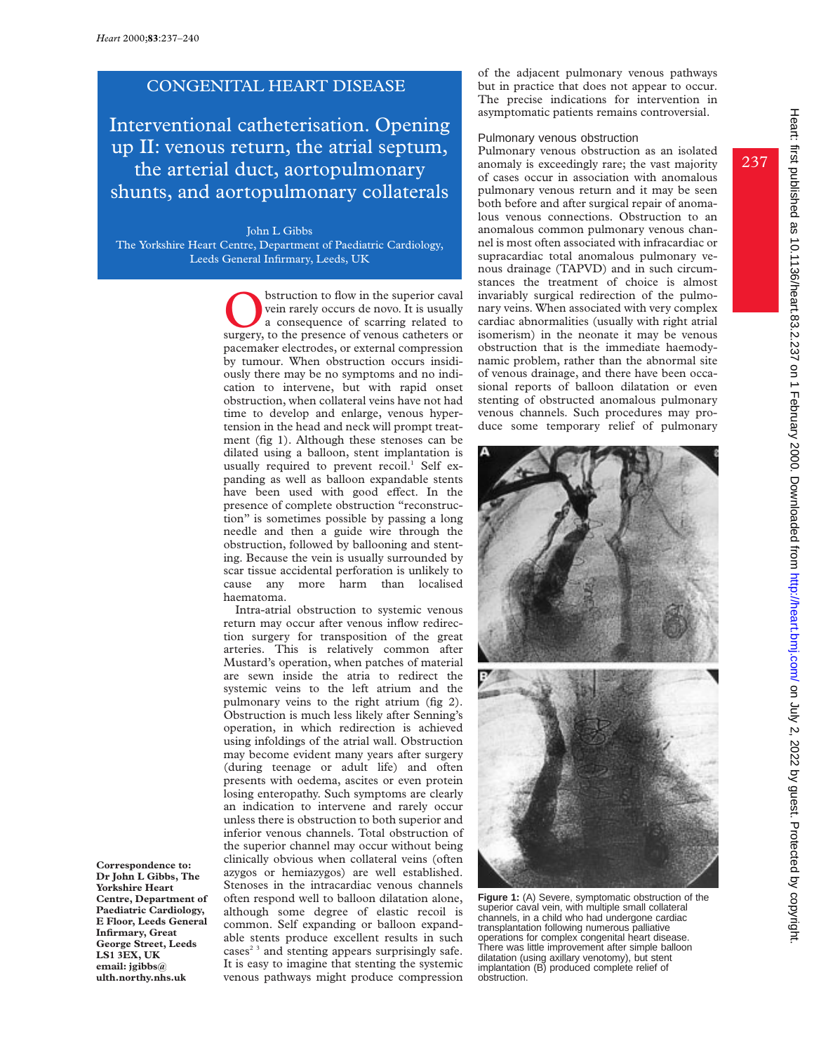# CONGENITAL HEART DISEASE

Interventional catheterisation. Opening up II: venous return, the atrial septum, the arterial duct, aortopulmonary shunts, and aortopulmonary collaterals

#### John L Gibbs

The Yorkshire Heart Centre, Department of Paediatric Cardiology, Leeds General Infirmary, Leeds, UK

> **ODE SERVING THE SERVING SERVING SERVING SURVEY SERVING SURVEY AND SURVEY SURVEY SURVEY SURVEY SURVEY SURVEY SURVEY SURVEY SURVEY SURVEY SURVEY SURVEY SURVEY SURVEY SURVEY SURVEY SURVEY SURVEY SURVEY SURVEY SURVEY SURVEY S** vein rarely occurs de novo. It is usually surgery, to the presence of venous catheters or pacemaker electrodes, or external compression by tumour. When obstruction occurs insidiously there may be no symptoms and no indication to intervene, but with rapid onset obstruction, when collateral veins have not had time to develop and enlarge, venous hypertension in the head and neck will prompt treatment (fig 1). Although these stenoses can be dilated using a balloon, stent implantation is usually required to prevent recoil.<sup>1</sup> Self expanding as well as balloon expandable stents have been used with good effect. In the presence of complete obstruction "reconstruction" is sometimes possible by passing a long needle and then a guide wire through the obstruction, followed by ballooning and stenting. Because the vein is usually surrounded by scar tissue accidental perforation is unlikely to cause any more harm than localised haematoma.

> Intra-atrial obstruction to systemic venous return may occur after venous inflow redirection surgery for transposition of the great arteries. This is relatively common after Mustard's operation, when patches of material are sewn inside the atria to redirect the systemic veins to the left atrium and the pulmonary veins to the right atrium (fig 2). Obstruction is much less likely after Senning's operation, in which redirection is achieved using infoldings of the atrial wall. Obstruction may become evident many years after surgery (during teenage or adult life) and often presents with oedema, ascites or even protein losing enteropathy. Such symptoms are clearly an indication to intervene and rarely occur unless there is obstruction to both superior and inferior venous channels. Total obstruction of the superior channel may occur without being clinically obvious when collateral veins (often azygos or hemiazygos) are well established. Stenoses in the intracardiac venous channels often respond well to balloon dilatation alone, although some degree of elastic recoil is common. Self expanding or balloon expandable stents produce excellent results in such cases<sup>23</sup> and stenting appears surprisingly safe. It is easy to imagine that stenting the systemic venous pathways might produce compression

of the adjacent pulmonary venous pathways but in practice that does not appear to occur. The precise indications for intervention in asymptomatic patients remains controversial.

# Pulmonary venous obstruction

Pulmonary venous obstruction as an isolated anomaly is exceedingly rare; the vast majority of cases occur in association with anomalous pulmonary venous return and it may be seen both before and after surgical repair of anomalous venous connections. Obstruction to an anomalous common pulmonary venous channel is most often associated with infracardiac or supracardiac total anomalous pulmonary venous drainage (TAPVD) and in such circumstances the treatment of choice is almost invariably surgical redirection of the pulmonary veins. When associated with very complex cardiac abnormalities (usually with right atrial isomerism) in the neonate it may be venous obstruction that is the immediate haemodynamic problem, rather than the abnormal site of venous drainage, and there have been occasional reports of balloon dilatation or even stenting of obstructed anomalous pulmonary venous channels. Such procedures may produce some temporary relief of pulmonary



Figure 1: (A) Severe, symptomatic obstruction of the superior caval vein, with multiple small collateral channels, in a child who had undergone cardiac transplantation following numerous palliative operations for complex congenital heart disease. There was little improvement after simple balloon dilatation (using axillary venotomy), but stent implantation (B) produced complete relief of obstruction.

**Correspondence to: Dr John L Gibbs, The Yorkshire Heart Centre, Department of Paediatric Cardiology, E Floor, Leeds General Infirmary, Great George Street, Leeds LS1 3EX, UK email: jgibbs@ ulth.northy.nhs.uk**

237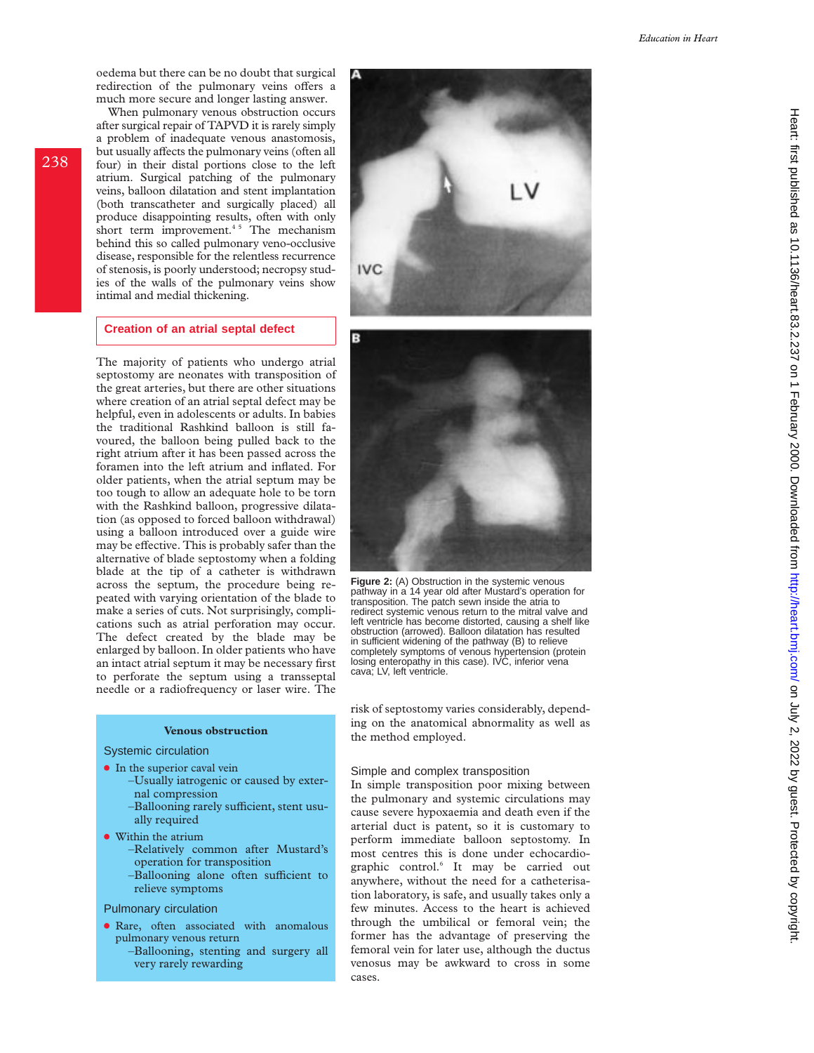oedema but there can be no doubt that surgical redirection of the pulmonary veins offers a much more secure and longer lasting answer.

When pulmonary venous obstruction occurs after surgical repair of TAPVD it is rarely simply a problem of inadequate venous anastomosis, but usually affects the pulmonary veins (often all four) in their distal portions close to the left atrium. Surgical patching of the pulmonary veins, balloon dilatation and stent implantation (both transcatheter and surgically placed) all produce disappointing results, often with only short term improvement. $45$  The mechanism behind this so called pulmonary veno-occlusive disease, responsible for the relentless recurrence of stenosis, is poorly understood; necropsy studies of the walls of the pulmonary veins show intimal and medial thickening.



# **Creation of an atrial septal defect**

The majority of patients who undergo atrial septostomy are neonates with transposition of the great arteries, but there are other situations where creation of an atrial septal defect may be helpful, even in adolescents or adults. In babies the traditional Rashkind balloon is still favoured, the balloon being pulled back to the right atrium after it has been passed across the foramen into the left atrium and inflated. For older patients, when the atrial septum may be too tough to allow an adequate hole to be torn with the Rashkind balloon, progressive dilatation (as opposed to forced balloon withdrawal) using a balloon introduced over a guide wire may be effective. This is probably safer than the alternative of blade septostomy when a folding blade at the tip of a catheter is withdrawn across the septum, the procedure being repeated with varying orientation of the blade to make a series of cuts. Not surprisingly, complications such as atrial perforation may occur. The defect created by the blade may be enlarged by balloon. In older patients who have an intact atrial septum it may be necessary first to perforate the septum using a transseptal needle or a radiofrequency or laser wire. The

### **Venous obstruction**

### Systemic circulation

- $\bullet$  In the superior caval vein
	- –Usually iatrogenic or caused by external compression -Ballooning rarely sufficient, stent usu-
- ally required • Within the atrium
	- –Relatively common after Mustard's operation for transposition -Ballooning alone often sufficient to relieve symptoms

#### Pulmonary circulation

- Rare, often associated with anomalous pulmonary venous return
	- –Ballooning, stenting and surgery all very rarely rewarding

risk of septostomy varies considerably, depending on the anatomical abnormality as well as the method employed.

**Figure 2:** (A) Obstruction in the systemic venous pathway in a 14 year old after Mustard's operation for transposition. The patch sewn inside the atria to redirect systemic venous return to the mitral valve and left ventricle has become distorted, causing a shelf like obstruction (arrowed). Balloon dilatation has resulted in sufficient widening of the pathway (B) to relieve completely symptoms of venous hypertension (protein losing enteropathy in this case). IVC, inferior vena

### Simple and complex transposition

cava; LV, left ventricle.

B

In simple transposition poor mixing between the pulmonary and systemic circulations may cause severe hypoxaemia and death even if the arterial duct is patent, so it is customary to perform immediate balloon septostomy. In most centres this is done under echocardiographic control.6 It may be carried out anywhere, without the need for a catheterisation laboratory, is safe, and usually takes only a few minutes. Access to the heart is achieved through the umbilical or femoral vein; the former has the advantage of preserving the femoral vein for later use, although the ductus venosus may be awkward to cross in some cases.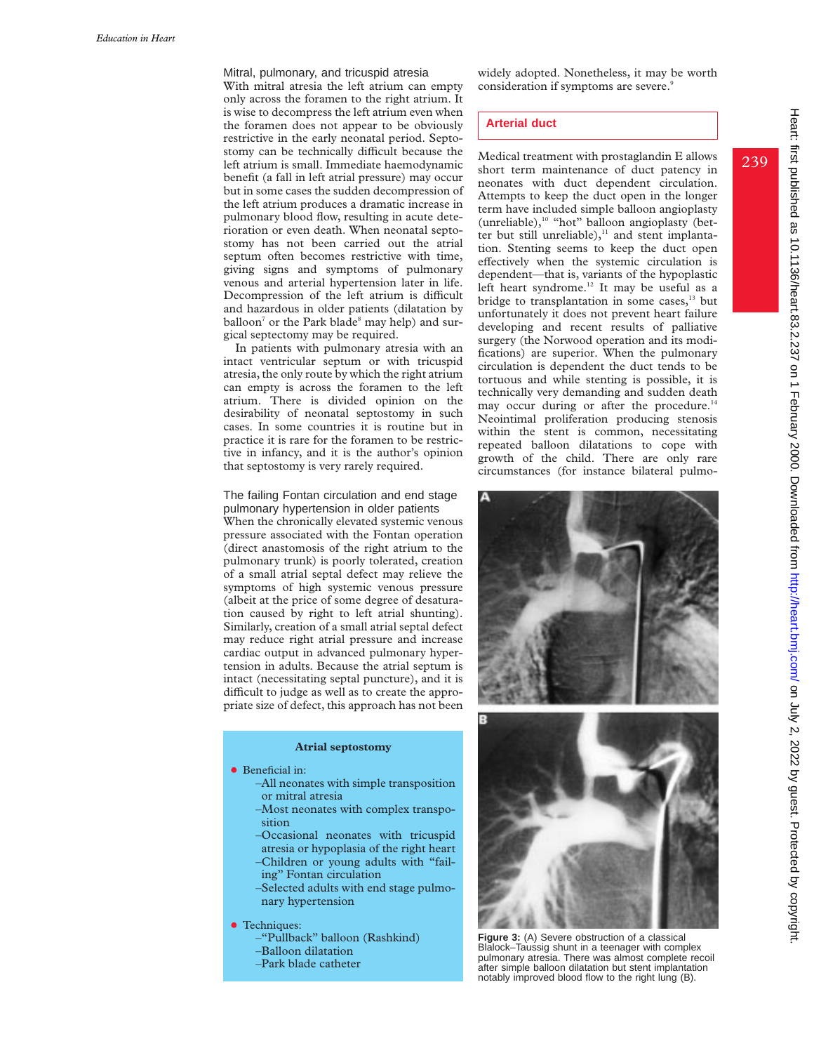Mitral, pulmonary, and tricuspid atresia With mitral atresia the left atrium can empty only across the foramen to the right atrium. It is wise to decompress the left atrium even when the foramen does not appear to be obviously restrictive in the early neonatal period. Septostomy can be technically difficult because the left atrium is small. Immediate haemodynamic benefit (a fall in left atrial pressure) may occur but in some cases the sudden decompression of the left atrium produces a dramatic increase in pulmonary blood flow, resulting in acute deterioration or even death. When neonatal septostomy has not been carried out the atrial septum often becomes restrictive with time, giving signs and symptoms of pulmonary venous and arterial hypertension later in life. Decompression of the left atrium is difficult and hazardous in older patients (dilatation by balloon<sup>7</sup> or the Park blade<sup>8</sup> may help) and surgical septectomy may be required.

In patients with pulmonary atresia with an intact ventricular septum or with tricuspid atresia, the only route by which the right atrium can empty is across the foramen to the left atrium. There is divided opinion on the desirability of neonatal septostomy in such cases. In some countries it is routine but in practice it is rare for the foramen to be restrictive in infancy, and it is the author's opinion that septostomy is very rarely required.

# The failing Fontan circulation and end stage pulmonary hypertension in older patients

When the chronically elevated systemic venous pressure associated with the Fontan operation (direct anastomosis of the right atrium to the pulmonary trunk) is poorly tolerated, creation of a small atrial septal defect may relieve the symptoms of high systemic venous pressure (albeit at the price of some degree of desaturation caused by right to left atrial shunting). Similarly, creation of a small atrial septal defect may reduce right atrial pressure and increase cardiac output in advanced pulmonary hypertension in adults. Because the atrial septum is intact (necessitating septal puncture), and it is difficult to judge as well as to create the appropriate size of defect, this approach has not been

# **Atrial septostomy**

## $\bullet$  Beneficial in:

- –All neonates with simple transposition or mitral atresia
- –Most neonates with complex transposition
- –Occasional neonates with tricuspid atresia or hypoplasia of the right heart –Children or young adults with "fail-
- ing" Fontan circulation
- –Selected adults with end stage pulmonary hypertension
- Techniques:
	- –"Pullback" balloon (Rashkind)
	- –Balloon dilatation
	- –Park blade catheter

widely adopted. Nonetheless, it may be worth consideration if symptoms are severe.<sup>9</sup>

# **Arterial duct**

Medical treatment with prostaglandin E allows short term maintenance of duct patency in neonates with duct dependent circulation. Attempts to keep the duct open in the longer term have included simple balloon angioplasty (unreliable), $10$  "hot" balloon angioplasty (better but still unreliable), $11$  and stent implantation. Stenting seems to keep the duct open effectively when the systemic circulation is dependent—that is, variants of the hypoplastic left heart syndrome.<sup>12</sup> It may be useful as a bridge to transplantation in some cases,<sup>13</sup> but unfortunately it does not prevent heart failure developing and recent results of palliative surgery (the Norwood operation and its modifications) are superior. When the pulmonary circulation is dependent the duct tends to be tortuous and while stenting is possible, it is technically very demanding and sudden death may occur during or after the procedure.<sup>14</sup> Neointimal proliferation producing stenosis within the stent is common, necessitating repeated balloon dilatations to cope with growth of the child. There are only rare circumstances (for instance bilateral pulmo-





**Figure 3:** (A) Severe obstruction of a classical Blalock–Taussig shunt in a teenager with complex pulmonary atresia. There was almost complete recoil after simple balloon dilatation but stent implantation notably improved blood flow to the right lung (B).

239